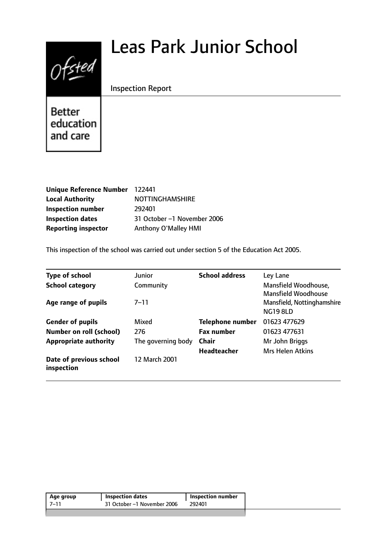# Ofsted

# Leas Park Junior School

Inspection Report

Better education and care

| Unique Reference Number 122441 |                             |
|--------------------------------|-----------------------------|
| <b>Local Authority</b>         | <b>NOTTINGHAMSHIRE</b>      |
| <b>Inspection number</b>       | 292401                      |
| <b>Inspection dates</b>        | 31 October -1 November 2006 |
| <b>Reporting inspector</b>     | Anthony O'Malley HMI        |

This inspection of the school was carried out under section 5 of the Education Act 2005.

| <b>Type of school</b>                 | Junior             | <b>School address</b>   | Ley Lane                                                                    |
|---------------------------------------|--------------------|-------------------------|-----------------------------------------------------------------------------|
| <b>School category</b>                | Community          |                         | Mansfield Woodhouse,                                                        |
| Age range of pupils                   | $7 - 11$           |                         | <b>Mansfield Woodhouse</b><br>Mansfield, Nottinghamshire<br><b>NG19 8LD</b> |
| <b>Gender of pupils</b>               | Mixed              | <b>Telephone number</b> | 01623 477629                                                                |
| <b>Number on roll (school)</b>        | 276                | <b>Fax number</b>       | 01623 477631                                                                |
| <b>Appropriate authority</b>          | The governing body | <b>Chair</b>            | Mr John Briggs                                                              |
|                                       |                    | <b>Headteacher</b>      | <b>Mrs Helen Atkins</b>                                                     |
| Date of previous school<br>inspection | 12 March 2001      |                         |                                                                             |

| Age group | Inspection dates            | Inspection number |
|-----------|-----------------------------|-------------------|
| $7 - 1$   | 31 October -1 November 2006 | 292401            |
|           |                             |                   |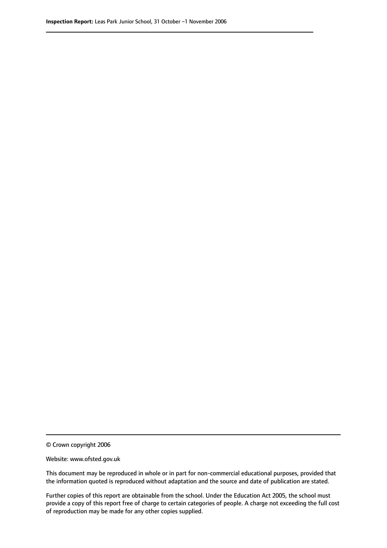© Crown copyright 2006

Website: www.ofsted.gov.uk

This document may be reproduced in whole or in part for non-commercial educational purposes, provided that the information quoted is reproduced without adaptation and the source and date of publication are stated.

Further copies of this report are obtainable from the school. Under the Education Act 2005, the school must provide a copy of this report free of charge to certain categories of people. A charge not exceeding the full cost of reproduction may be made for any other copies supplied.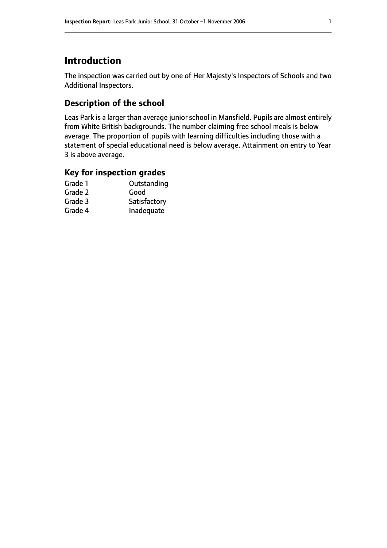# **Introduction**

The inspection was carried out by one of Her Majesty's Inspectors of Schools and two Additional Inspectors.

# **Description of the school**

Leas Park is a larger than average junior school in Mansfield. Pupils are almost entirely from White British backgrounds. The number claiming free school meals is below average. The proportion of pupils with learning difficulties including those with a statement of special educational need is below average. Attainment on entry to Year 3 is above average.

## **Key for inspection grades**

| Grade 1 | Outstanding  |
|---------|--------------|
| Grade 2 | Good         |
| Grade 3 | Satisfactory |
| Grade 4 | Inadequate   |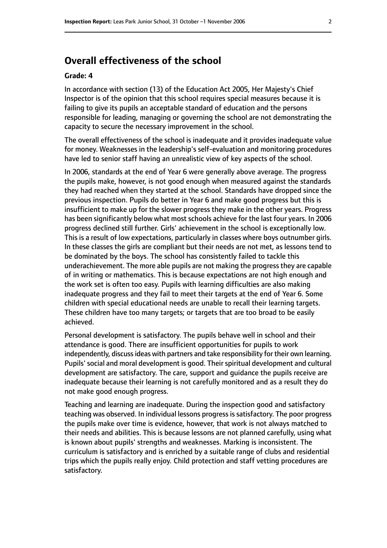# **Overall effectiveness of the school**

#### **Grade: 4**

In accordance with section (13) of the Education Act 2005, Her Majesty's Chief Inspector is of the opinion that this school requires special measures because it is failing to give its pupils an acceptable standard of education and the persons responsible for leading, managing or governing the school are not demonstrating the capacity to secure the necessary improvement in the school.

The overall effectiveness of the school is inadequate and it provides inadequate value for money. Weaknesses in the leadership's self-evaluation and monitoring procedures have led to senior staff having an unrealistic view of key aspects of the school.

In 2006, standards at the end of Year 6 were generally above average. The progress the pupils make, however, is not good enough when measured against the standards they had reached when they started at the school. Standards have dropped since the previous inspection. Pupils do better in Year 6 and make good progress but this is insufficient to make up for the slower progress they make in the other years. Progress has been significantly below what most schools achieve for the last four years. In 2006 progress declined still further. Girls' achievement in the school is exceptionally low. This is a result of low expectations, particularly in classes where boys outnumber girls. In these classes the girls are compliant but their needs are not met, as lessons tend to be dominated by the boys. The school has consistently failed to tackle this underachievement. The more able pupils are not making the progress they are capable of in writing or mathematics. This is because expectations are not high enough and the work set is often too easy. Pupils with learning difficulties are also making inadequate progress and they fail to meet their targets at the end of Year 6. Some children with special educational needs are unable to recall their learning targets. These children have too many targets; or targets that are too broad to be easily achieved.

Personal development is satisfactory. The pupils behave well in school and their attendance is good. There are insufficient opportunities for pupils to work independently, discuss ideas with partners and take responsibility for their own learning. Pupils' social and moral development is good. Their spiritual development and cultural development are satisfactory. The care, support and guidance the pupils receive are inadequate because their learning is not carefully monitored and as a result they do not make good enough progress.

Teaching and learning are inadequate. During the inspection good and satisfactory teaching was observed. In individual lessons progress is satisfactory. The poor progress the pupils make over time is evidence, however, that work is not always matched to their needs and abilities. This is because lessons are not planned carefully, using what is known about pupils' strengths and weaknesses. Marking is inconsistent. The curriculum is satisfactory and is enriched by a suitable range of clubs and residential trips which the pupils really enjoy. Child protection and staff vetting procedures are satisfactory.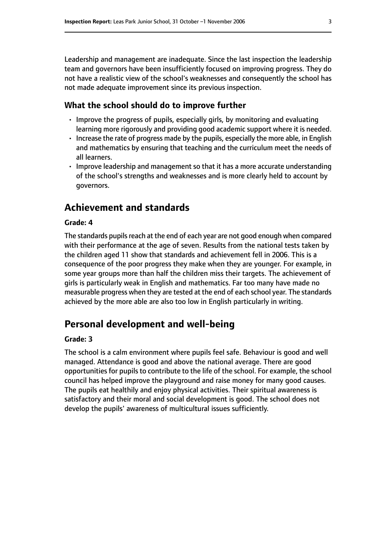Leadership and management are inadequate. Since the last inspection the leadership team and governors have been insufficiently focused on improving progress. They do not have a realistic view of the school's weaknesses and consequently the school has not made adequate improvement since its previous inspection.

#### **What the school should do to improve further**

- Improve the progress of pupils, especially girls, by monitoring and evaluating learning more rigorously and providing good academic support where it is needed.
- Increase the rate of progress made by the pupils, especially the more able, in English and mathematics by ensuring that teaching and the curriculum meet the needs of all learners.
- Improve leadership and management so that it has a more accurate understanding of the school's strengths and weaknesses and is more clearly held to account by governors.

# **Achievement and standards**

#### **Grade: 4**

The standards pupils reach at the end of each year are not good enough when compared with their performance at the age of seven. Results from the national tests taken by the children aged 11 show that standards and achievement fell in 2006. This is a consequence of the poor progress they make when they are younger. For example, in some year groups more than half the children miss their targets. The achievement of girls is particularly weak in English and mathematics. Far too many have made no measurable progress when they are tested at the end of each school year. The standards achieved by the more able are also too low in English particularly in writing.

# **Personal development and well-being**

#### **Grade: 3**

The school is a calm environment where pupils feel safe. Behaviour is good and well managed. Attendance is good and above the national average. There are good opportunities for pupils to contribute to the life of the school. For example, the school council has helped improve the playground and raise money for many good causes. The pupils eat healthily and enjoy physical activities. Their spiritual awareness is satisfactory and their moral and social development is good. The school does not develop the pupils' awareness of multicultural issues sufficiently.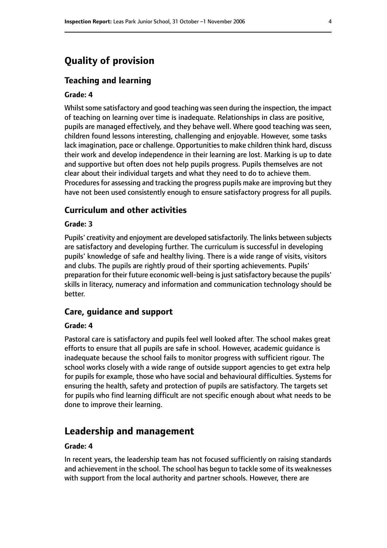# **Quality of provision**

#### **Teaching and learning**

#### **Grade: 4**

Whilst some satisfactory and good teaching was seen during the inspection, the impact of teaching on learning over time is inadequate. Relationships in class are positive, pupils are managed effectively, and they behave well. Where good teaching was seen, children found lessons interesting, challenging and enjoyable. However, some tasks lack imagination, pace or challenge. Opportunities to make children think hard, discuss their work and develop independence in their learning are lost. Marking is up to date and supportive but often does not help pupils progress. Pupils themselves are not clear about their individual targets and what they need to do to achieve them. Procedures for assessing and tracking the progress pupils make are improving but they have not been used consistently enough to ensure satisfactory progress for all pupils.

#### **Curriculum and other activities**

#### **Grade: 3**

Pupils' creativity and enjoyment are developed satisfactorily. The links between subjects are satisfactory and developing further. The curriculum is successful in developing pupils' knowledge of safe and healthy living. There is a wide range of visits, visitors and clubs. The pupils are rightly proud of their sporting achievements. Pupils' preparation for their future economic well-being is just satisfactory because the pupils' skills in literacy, numeracy and information and communication technology should be better.

#### **Care, guidance and support**

#### **Grade: 4**

Pastoral care is satisfactory and pupils feel well looked after. The school makes great efforts to ensure that all pupils are safe in school. However, academic guidance is inadequate because the school fails to monitor progress with sufficient rigour. The school works closely with a wide range of outside support agencies to get extra help for pupils for example, those who have social and behavioural difficulties. Systems for ensuring the health, safety and protection of pupils are satisfactory. The targets set for pupils who find learning difficult are not specific enough about what needs to be done to improve their learning.

#### **Leadership and management**

#### **Grade: 4**

In recent years, the leadership team has not focused sufficiently on raising standards and achievement in the school. The school has begun to tackle some of its weaknesses with support from the local authority and partner schools. However, there are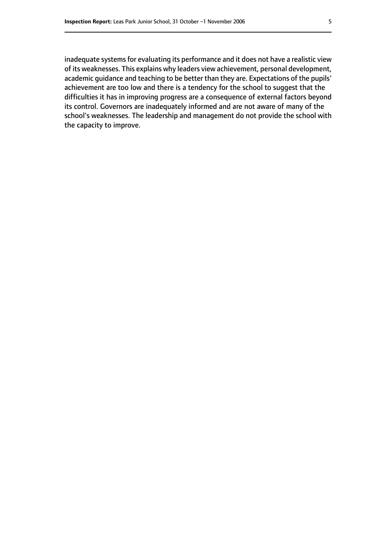inadequate systems for evaluating its performance and it does not have a realistic view of its weaknesses. This explains why leaders view achievement, personal development, academic guidance and teaching to be better than they are. Expectations of the pupils' achievement are too low and there is a tendency for the school to suggest that the difficulties it has in improving progress are a consequence of external factors beyond its control. Governors are inadequately informed and are not aware of many of the school's weaknesses. The leadership and management do not provide the school with the capacity to improve.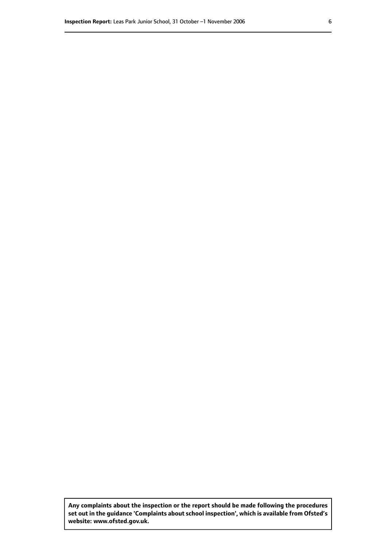**Any complaints about the inspection or the report should be made following the procedures set out inthe guidance 'Complaints about school inspection', whichis available from Ofsted's website: www.ofsted.gov.uk.**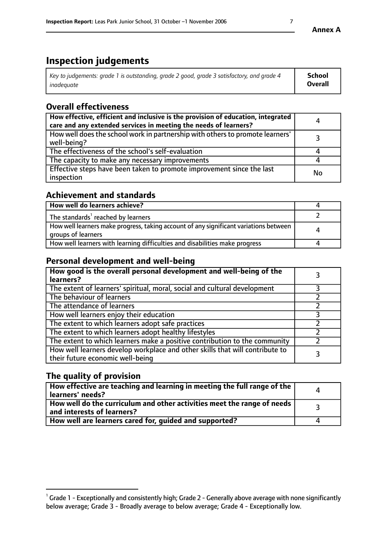# **Inspection judgements**

| Key to judgements: grade 1 is outstanding, grade 2 good, grade 3 satisfactory, and grade 4 | School         |
|--------------------------------------------------------------------------------------------|----------------|
| inadeauate                                                                                 | <b>Overall</b> |

# **Overall effectiveness**

| How effective, efficient and inclusive is the provision of education, integrated<br>care and any extended services in meeting the needs of learners? | 4  |
|------------------------------------------------------------------------------------------------------------------------------------------------------|----|
| How well does the school work in partnership with others to promote learners'<br>well-being?                                                         |    |
| The effectiveness of the school's self-evaluation                                                                                                    |    |
| The capacity to make any necessary improvements                                                                                                      |    |
| Effective steps have been taken to promote improvement since the last<br>inspection                                                                  | No |

## **Achievement and standards**

| How well do learners achieve?                                                                               |   |
|-------------------------------------------------------------------------------------------------------------|---|
| The standards <sup>1</sup> reached by learners                                                              |   |
| How well learners make progress, taking account of any significant variations between<br>groups of learners | 4 |
| How well learners with learning difficulties and disabilities make progress                                 |   |

# **Personal development and well-being**

| How good is the overall personal development and well-being of the<br>learners?                                  |  |
|------------------------------------------------------------------------------------------------------------------|--|
| The extent of learners' spiritual, moral, social and cultural development                                        |  |
| The behaviour of learners                                                                                        |  |
| The attendance of learners                                                                                       |  |
| How well learners enjoy their education                                                                          |  |
| The extent to which learners adopt safe practices                                                                |  |
| The extent to which learners adopt healthy lifestyles                                                            |  |
| The extent to which learners make a positive contribution to the community                                       |  |
| How well learners develop workplace and other skills that will contribute to<br>their future economic well-being |  |

# **The quality of provision**

| How effective are teaching and learning in meeting the full range of the<br>learners' needs?                        |  |
|---------------------------------------------------------------------------------------------------------------------|--|
| $\mid$ How well do the curriculum and other activities meet the range of needs $\mid$<br>and interests of learners? |  |
| How well are learners cared for, guided and supported?                                                              |  |

 $^1$  Grade 1 - Exceptionally and consistently high; Grade 2 - Generally above average with none significantly below average; Grade 3 - Broadly average to below average; Grade 4 - Exceptionally low.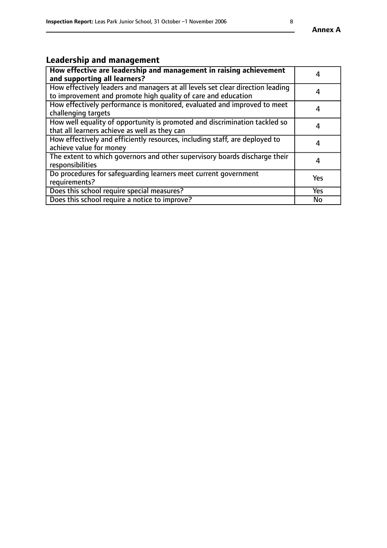# **Leadership and management**

| How effective are leadership and management in raising achievement<br>and supporting all learners?                                              |           |
|-------------------------------------------------------------------------------------------------------------------------------------------------|-----------|
| How effectively leaders and managers at all levels set clear direction leading<br>to improvement and promote high quality of care and education | 4         |
| How effectively performance is monitored, evaluated and improved to meet<br>challenging targets                                                 | 4         |
| How well equality of opportunity is promoted and discrimination tackled so<br>that all learners achieve as well as they can                     | 4         |
| How effectively and efficiently resources, including staff, are deployed to<br>achieve value for money                                          | 4         |
| The extent to which governors and other supervisory boards discharge their<br>responsibilities                                                  | 4         |
| Do procedures for safequarding learners meet current government<br>requirements?                                                                | Yes       |
| Does this school require special measures?                                                                                                      | Yes       |
| Does this school require a notice to improve?                                                                                                   | <b>No</b> |